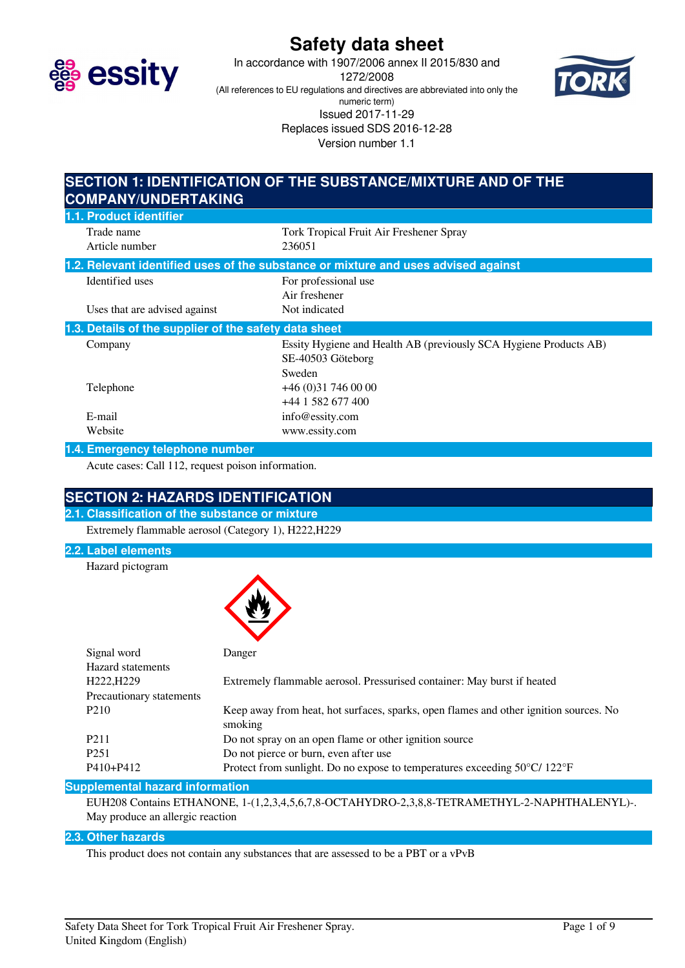

# **Safety data sheet**

In accordance with 1907/2006 annex II 2015/830 and 1272/2008 (All references to EU regulations and directives are abbreviated into only the numeric term) Issued 2017-11-29 Replaces issued SDS 2016-12-28 Version number 1.1



# **SECTION 1: IDENTIFICATION OF THE SUBSTANCE/MIXTURE AND OF THE COMPANY/UNDERTAKING**

| 1.1. Product identifier                               |                                                                                    |
|-------------------------------------------------------|------------------------------------------------------------------------------------|
| Trade name                                            | Tork Tropical Fruit Air Freshener Spray                                            |
| Article number                                        | 236051                                                                             |
|                                                       | 1.2. Relevant identified uses of the substance or mixture and uses advised against |
| Identified uses                                       | For professional use                                                               |
|                                                       | Air freshener                                                                      |
| Uses that are advised against                         | Not indicated                                                                      |
| 1.3. Details of the supplier of the safety data sheet |                                                                                    |
| Company                                               | Essity Hygiene and Health AB (previously SCA Hygiene Products AB)                  |
|                                                       | SE-40503 Göteborg                                                                  |
|                                                       | Sweden                                                                             |
| Telephone                                             | $+46(0)317460000$                                                                  |
|                                                       | +44 1 582 677 400                                                                  |
| E-mail                                                | info@essity.com                                                                    |
| Website                                               | www.essity.com                                                                     |
|                                                       |                                                                                    |

### **1.4. Emergency telephone number**

Acute cases: Call 112, request poison information.

# **SECTION 2: HAZARDS IDENTIFICATION**

**2.1. Classification of the substance or mixture** Extremely flammable aerosol (Category 1), H222,H229

### **2.2. Label elements**

Hazard pictogram



| Signal word              | Danger                                                                                           |
|--------------------------|--------------------------------------------------------------------------------------------------|
| <b>Hazard statements</b> |                                                                                                  |
| H222, H229               | Extremely flammable aerosol. Pressurised container: May burst if heated                          |
| Precautionary statements |                                                                                                  |
| P <sub>210</sub>         | Keep away from heat, hot surfaces, sparks, open flames and other ignition sources. No<br>smoking |
| P <sub>2</sub> 11        | Do not spray on an open flame or other ignition source                                           |
| P <sub>251</sub>         | Do not pierce or burn, even after use                                                            |
| P410+P412                | Protect from sunlight. Do no expose to temperatures exceeding $50^{\circ}$ C/ $122^{\circ}$ F    |

### **Supplemental hazard information**

EUH208 Contains ETHANONE, 1-(1,2,3,4,5,6,7,8-OCTAHYDRO-2,3,8,8-TETRAMETHYL-2-NAPHTHALENYL)-. May produce an allergic reaction

# **2.3. Other hazards**

This product does not contain any substances that are assessed to be a PBT or a vPvB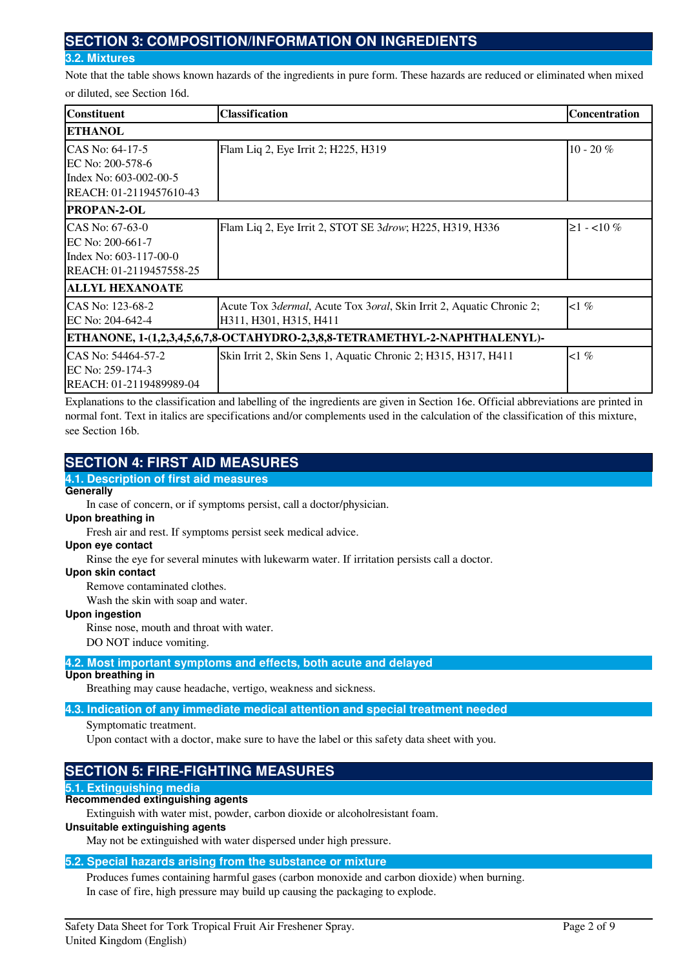# **SECTION 3: COMPOSITION/INFORMATION ON INGREDIENTS**

### **3.2. Mixtures**

Note that the table shows known hazards of the ingredients in pure form. These hazards are reduced or eliminated when mixed or diluted, see Section 16d.

| Constituent                                                                              | <b>Classification</b>                                                                          | <b>Concentration</b> |
|------------------------------------------------------------------------------------------|------------------------------------------------------------------------------------------------|----------------------|
| <b>ETHANOL</b>                                                                           |                                                                                                |                      |
| ICAS No: 64-17-5                                                                         | Flam Liq 2, Eye Irrit 2; H225, H319                                                            | $10 - 20 \%$         |
| IEC No: 200-578-6<br>Index No: 603-002-00-5<br>REACH: 01-2119457610-43                   |                                                                                                |                      |
| <b>PROPAN-2-OL</b>                                                                       |                                                                                                |                      |
| CAS No: 67-63-0<br>EC No: 200-661-7<br>Index No: 603-117-00-0<br>REACH: 01-2119457558-25 | Flam Liq 2, Eye Irrit 2, STOT SE 3drow; H225, H319, H336                                       | $≥1 - 10\%$          |
| <b>ALLYL HEXANOATE</b>                                                                   |                                                                                                |                      |
| CAS No: 123-68-2<br>IEC No: 204-642-4                                                    | Acute Tox 3dermal, Acute Tox 3oral, Skin Irrit 2, Aquatic Chronic 2;<br>H311, H301, H315, H411 | $\langle 1 \, \%$    |
|                                                                                          | ETHANONE, 1-(1,2,3,4,5,6,7,8-OCTAHYDRO-2,3,8,8-TETRAMETHYL-2-NAPHTHALENYL)-                    |                      |
| ICAS No: 54464-57-2<br>IEC No: 259-174-3<br>REACH: 01-2119489989-04                      | Skin Irrit 2, Skin Sens 1, Aquatic Chronic 2; H315, H317, H411                                 | $1\%$                |

Explanations to the classification and labelling of the ingredients are given in Section 16e. Official abbreviations are printed in normal font. Text in italics are specifications and/or complements used in the calculation of the classification of this mixture, see Section 16b.

# **SECTION 4: FIRST AID MEASURES**

## **4.1. Description of first aid measures**

# **Generally**

In case of concern, or if symptoms persist, call a doctor/physician.

## **Upon breathing in**

Fresh air and rest. If symptoms persist seek medical advice.

#### **Upon eye contact**

Rinse the eye for several minutes with lukewarm water. If irritation persists call a doctor.

# **Upon skin contact**

Remove contaminated clothes.

Wash the skin with soap and water.

### **Upon ingestion**

Rinse nose, mouth and throat with water.

DO NOT induce vomiting.

## **4.2. Most important symptoms and effects, both acute and delayed**

**Upon breathing in**

Breathing may cause headache, vertigo, weakness and sickness.

# **4.3. Indication of any immediate medical attention and special treatment needed**

# Symptomatic treatment.

Upon contact with a doctor, make sure to have the label or this safety data sheet with you.

# **SECTION 5: FIRE-FIGHTING MEASURES**

# **5.1. Extinguishing media**

# **Recommended extinguishing agents**

Extinguish with water mist, powder, carbon dioxide or alcoholresistant foam.

# **Unsuitable extinguishing agents**

May not be extinguished with water dispersed under high pressure.

# **5.2. Special hazards arising from the substance or mixture**

Produces fumes containing harmful gases (carbon monoxide and carbon dioxide) when burning. In case of fire, high pressure may build up causing the packaging to explode.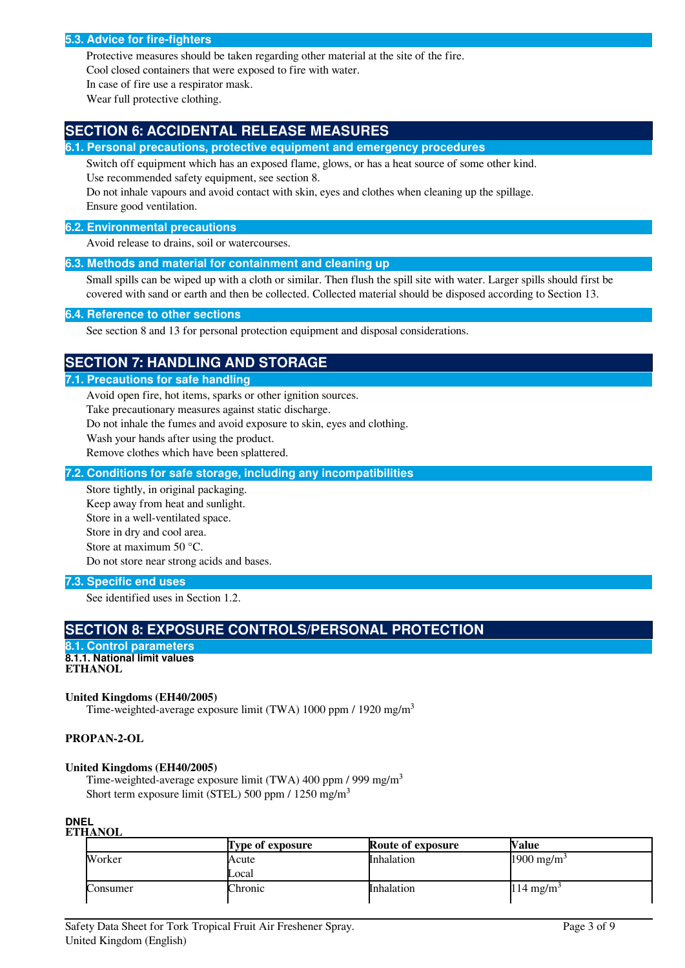#### **5.3. Advice for fire-fighters**

Protective measures should be taken regarding other material at the site of the fire. Cool closed containers that were exposed to fire with water.

In case of fire use a respirator mask.

Wear full protective clothing.

# **SECTION 6: ACCIDENTAL RELEASE MEASURES**

**6.1. Personal precautions, protective equipment and emergency procedures**

Switch off equipment which has an exposed flame, glows, or has a heat source of some other kind. Use recommended safety equipment, see section 8.

Do not inhale vapours and avoid contact with skin, eyes and clothes when cleaning up the spillage. Ensure good ventilation.

#### **6.2. Environmental precautions**

Avoid release to drains, soil or watercourses.

#### **6.3. Methods and material for containment and cleaning up**

Small spills can be wiped up with a cloth or similar. Then flush the spill site with water. Larger spills should first be covered with sand or earth and then be collected. Collected material should be disposed according to Section 13.

#### **6.4. Reference to other sections**

See section 8 and 13 for personal protection equipment and disposal considerations.

# **SECTION 7: HANDLING AND STORAGE**

#### **7.1. Precautions for safe handling**

Avoid open fire, hot items, sparks or other ignition sources.

Take precautionary measures against static discharge.

Do not inhale the fumes and avoid exposure to skin, eyes and clothing.

Wash your hands after using the product.

Remove clothes which have been splattered.

#### **7.2. Conditions for safe storage, including any incompatibilities**

Store tightly, in original packaging. Keep away from heat and sunlight. Store in a well-ventilated space. Store in dry and cool area. Store at maximum 50 °C. Do not store near strong acids and bases.

### **7.3. Specific end uses**

See identified uses in Section 1.2.

# **SECTION 8: EXPOSURE CONTROLS/PERSONAL PROTECTION**

```
8.1. Control parameters
8.1.1. National limit values
ETHANOL
```
# **United Kingdoms (EH40/2005)**

Time-weighted-average exposure limit (TWA) 1000 ppm / 1920 mg/m<sup>3</sup>

### **PROPAN-2-OL**

#### **United Kingdoms (EH40/2005)**

Time-weighted-average exposure limit (TWA) 400 ppm / 999 mg/m<sup>3</sup> Short term exposure limit (STEL) 500 ppm / 1250 mg/m<sup>3</sup>

#### **DNEL ETHANOL**

|          | <b>Type of exposure</b> | <b>Route of exposure</b> | Value                  |
|----------|-------------------------|--------------------------|------------------------|
| Worker   | Acute                   | Inhalation               | 1900 mg/m <sup>3</sup> |
|          | Local                   |                          |                        |
| Consumer | <b>Chronic</b>          | Inhalation               | $114 \text{ mg/m}^3$   |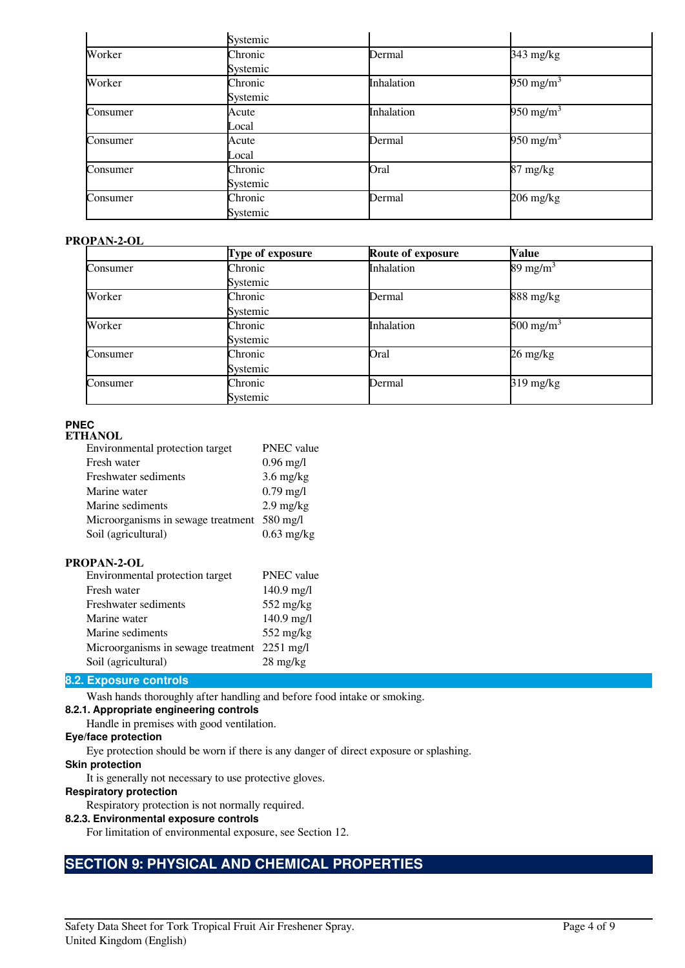|          | Systemic |            |                       |  |
|----------|----------|------------|-----------------------|--|
| Worker   | Chronic  | Dermal     | 343 mg/kg             |  |
|          | Systemic |            |                       |  |
| Worker   | Chronic  | Inhalation | 950 mg/m <sup>3</sup> |  |
|          | Systemic |            |                       |  |
| Consumer | Acute    | Inhalation | 950 mg/m <sup>3</sup> |  |
|          | Local    |            |                       |  |
| Consumer | Acute    | Dermal     | 950 mg/m <sup>3</sup> |  |
|          | Local    |            |                       |  |
| Consumer | Chronic  | Oral       | 87 mg/kg              |  |
|          | Systemic |            |                       |  |
| Consumer | Chronic  | Dermal     | $206$ mg/kg           |  |
|          | Systemic |            |                       |  |

## **PROPAN-2-OL**

|          | Type of exposure | <b>Route of exposure</b> | <b>Value</b>          |
|----------|------------------|--------------------------|-----------------------|
| Consumer | Chronic          | Inhalation               | 89 mg/m <sup>3</sup>  |
|          | Systemic         |                          |                       |
| Worker   | Chronic          | Dermal                   | 888 mg/kg             |
|          | Systemic         |                          |                       |
| Worker   | Chronic          | Inhalation               | 500 mg/m <sup>3</sup> |
|          | Systemic         |                          |                       |
| Consumer | Chronic          | Oral                     | 26 mg/kg              |
|          | Systemic         |                          |                       |
| Consumer | Chronic          | Dermal                   | $319 \text{ mg/kg}$   |
|          | Systemic         |                          |                       |

# **PNEC**

| <b>ETHANOL</b>                              |                     |
|---------------------------------------------|---------------------|
| Environmental protection target             | <b>PNEC</b> value   |
| Fresh water                                 | $0.96 \text{ mg/l}$ |
| <b>Freshwater sediments</b>                 | $3.6$ mg/kg         |
| Marine water                                | $0.79$ mg/l         |
| Marine sediments                            | $2.9$ mg/kg         |
| Microorganisms in sewage treatment 580 mg/l |                     |
| Soil (agricultural)                         | $0.63$ mg/kg        |

## **PROPAN-2-OL**

| Environmental protection target    | PNEC value          |
|------------------------------------|---------------------|
| Fresh water                        | $140.9$ mg/l        |
| Freshwater sediments               | 552 mg/kg           |
| Marine water                       | $140.9$ mg/l        |
| Marine sediments                   | $552$ mg/kg         |
| Microorganisms in sewage treatment | $2251 \text{ mg/l}$ |
| Soil (agricultural)                | $28 \text{ mg/kg}$  |

### **8.2. Exposure controls**

Wash hands thoroughly after handling and before food intake or smoking.

## **8.2.1. Appropriate engineering controls**

Handle in premises with good ventilation.

# **Eye/face protection**

Eye protection should be worn if there is any danger of direct exposure or splashing.

### **Skin protection**

It is generally not necessary to use protective gloves.

# **Respiratory protection**

Respiratory protection is not normally required.

### **8.2.3. Environmental exposure controls**

For limitation of environmental exposure, see Section 12.

# **SECTION 9: PHYSICAL AND CHEMICAL PROPERTIES**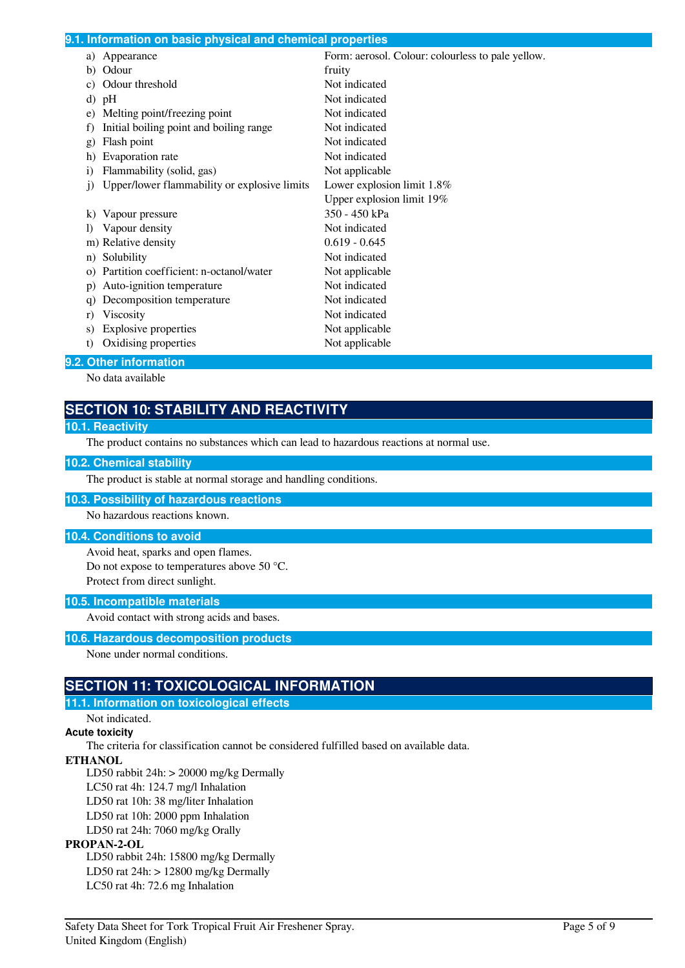|              | 9.1. Information on basic physical and chemical properties |                                                   |
|--------------|------------------------------------------------------------|---------------------------------------------------|
|              | a) Appearance                                              | Form: aerosol. Colour: colourless to pale yellow. |
| b)           | Odour                                                      | fruity                                            |
|              | Odour threshold                                            | Not indicated                                     |
| d)           | pH                                                         | Not indicated                                     |
| e)           | Melting point/freezing point                               | Not indicated                                     |
| f)           | Initial boiling point and boiling range                    | Not indicated                                     |
| g)           | Flash point                                                | Not indicated                                     |
| h)           | Evaporation rate                                           | Not indicated                                     |
| 1)           | Flammability (solid, gas)                                  | Not applicable                                    |
| $\mathbf{1}$ | Upper/lower flammability or explosive limits               | Lower explosion limit $1.8\%$                     |
|              |                                                            | Upper explosion limit 19%                         |
|              | Vapour pressure                                            | 350 - 450 kPa                                     |
| $\bf{D}$     | Vapour density                                             | Not indicated                                     |
|              | m) Relative density                                        | $0.619 - 0.645$                                   |
| n)           | Solubility                                                 | Not indicated                                     |
| $\Omega$     | Partition coefficient: n-octanol/water                     | Not applicable                                    |
| $\mathbf{D}$ | Auto-ignition temperature                                  | Not indicated                                     |
| q)           | Decomposition temperature                                  | Not indicated                                     |
| r)           | Viscosity                                                  | Not indicated                                     |
| S)           | <b>Explosive properties</b>                                | Not applicable                                    |
| t)           | Oxidising properties                                       | Not applicable                                    |
|              | 0.0. Other information                                     |                                                   |

### **9.2. Other information**

No data available

# **SECTION 10: STABILITY AND REACTIVITY**

#### **10.1. Reactivity**

The product contains no substances which can lead to hazardous reactions at normal use.

### **10.2. Chemical stability**

The product is stable at normal storage and handling conditions.

#### **10.3. Possibility of hazardous reactions**

No hazardous reactions known.

### **10.4. Conditions to avoid**

Avoid heat, sparks and open flames. Do not expose to temperatures above 50 °C. Protect from direct sunlight.

# **10.5. Incompatible materials**

Avoid contact with strong acids and bases.

### **10.6. Hazardous decomposition products**

None under normal conditions.

# **SECTION 11: TOXICOLOGICAL INFORMATION**

### **11.1. Information on toxicological effects**

## Not indicated.

# **Acute toxicity**

The criteria for classification cannot be considered fulfilled based on available data.

# **ETHANOL**

LD50 rabbit 24h: > 20000 mg/kg Dermally

LC50 rat 4h: 124.7 mg/l Inhalation

LD50 rat 10h: 38 mg/liter Inhalation

LD50 rat 10h: 2000 ppm Inhalation

LD50 rat 24h: 7060 mg/kg Orally

## **PROPAN-2-OL**

LD50 rabbit 24h: 15800 mg/kg Dermally LD50 rat  $24h$ :  $> 12800$  mg/kg Dermally LC50 rat 4h: 72.6 mg Inhalation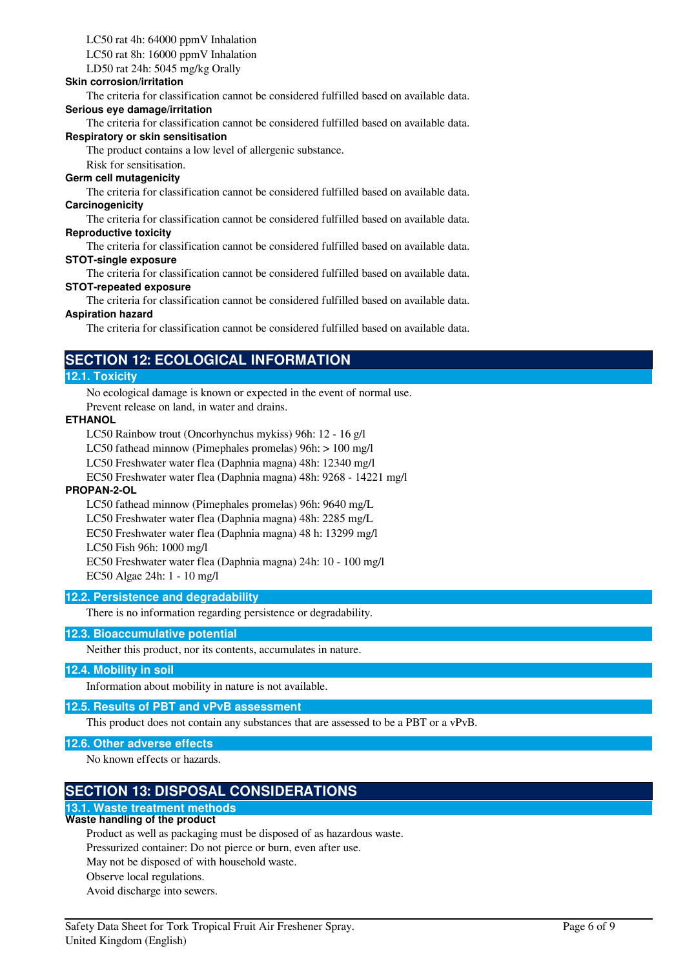# LC50 rat 4h: 64000 ppmV Inhalation

LC50 rat 8h: 16000 ppmV Inhalation

LD50 rat 24h: 5045 mg/kg Orally

### **Skin corrosion/irritation**

The criteria for classification cannot be considered fulfilled based on available data.

### **Serious eye damage/irritation**

The criteria for classification cannot be considered fulfilled based on available data.

#### **Respiratory or skin sensitisation**

The product contains a low level of allergenic substance.

Risk for sensitisation.

#### **Germ cell mutagenicity**

The criteria for classification cannot be considered fulfilled based on available data. **Carcinogenicity**

The criteria for classification cannot be considered fulfilled based on available data. **Reproductive toxicity**

The criteria for classification cannot be considered fulfilled based on available data. **STOT-single exposure**

The criteria for classification cannot be considered fulfilled based on available data. **STOT-repeated exposure**

The criteria for classification cannot be considered fulfilled based on available data. **Aspiration hazard**

The criteria for classification cannot be considered fulfilled based on available data.

# **SECTION 12: ECOLOGICAL INFORMATION**

### **12.1. Toxicity**

No ecological damage is known or expected in the event of normal use. Prevent release on land, in water and drains.

### **ETHANOL**

LC50 Rainbow trout (Oncorhynchus mykiss) 96h: 12 - 16 g/l

LC50 fathead minnow (Pimephales promelas) 96h: > 100 mg/l

LC50 Freshwater water flea (Daphnia magna) 48h: 12340 mg/l

EC50 Freshwater water flea (Daphnia magna) 48h: 9268 - 14221 mg/l

### **PROPAN-2-OL**

LC50 fathead minnow (Pimephales promelas) 96h: 9640 mg/L LC50 Freshwater water flea (Daphnia magna) 48h: 2285 mg/L EC50 Freshwater water flea (Daphnia magna) 48 h: 13299 mg/l LC50 Fish 96h: 1000 mg/l EC50 Freshwater water flea (Daphnia magna) 24h: 10 - 100 mg/l EC50 Algae 24h: 1 - 10 mg/l

### **12.2. Persistence and degradability**

There is no information regarding persistence or degradability.

### **12.3. Bioaccumulative potential**

Neither this product, nor its contents, accumulates in nature.

### **12.4. Mobility in soil**

Information about mobility in nature is not available.

### **12.5. Results of PBT and vPvB assessment**

This product does not contain any substances that are assessed to be a PBT or a vPvB.

### **12.6. Other adverse effects**

No known effects or hazards.

# **SECTION 13: DISPOSAL CONSIDERATIONS**

# **13.1. Waste treatment methods**

# **Waste handling of the product**

Product as well as packaging must be disposed of as hazardous waste.

Pressurized container: Do not pierce or burn, even after use.

- May not be disposed of with household waste.
- Observe local regulations.
- Avoid discharge into sewers.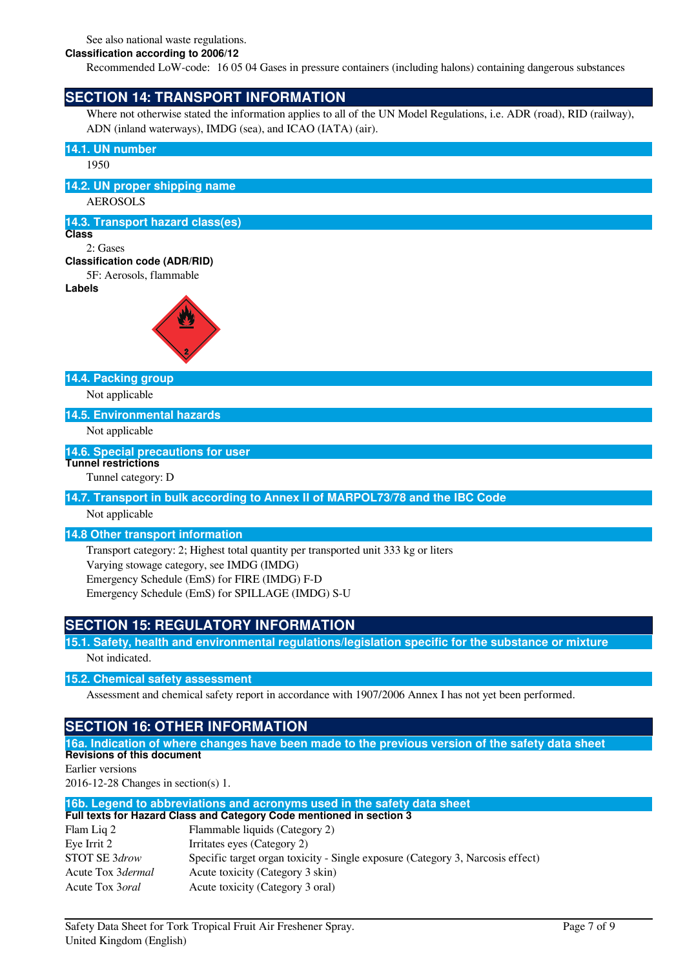See also national waste regulations.

**Classification according to 2006/12**

Recommended LoW-code: 16 05 04 Gases in pressure containers (including halons) containing dangerous substances

# **SECTION 14: TRANSPORT INFORMATION**

Where not otherwise stated the information applies to all of the UN Model Regulations, i.e. ADR (road), RID (railway), ADN (inland waterways), IMDG (sea), and ICAO (IATA) (air).

## **14.1. UN number**

1950

### **14.2. UN proper shipping name**

AEROSOLS

### **14.3. Transport hazard class(es)**

**Class**

# 2: Gases

### **Classification code (ADR/RID)** 5F: Aerosols, flammable

**Labels**



### **14.4. Packing group**

Not applicable

### **14.5. Environmental hazards**

Not applicable

### **14.6. Special precautions for user**

**Tunnel restrictions**

# Tunnel category: D

# **14.7. Transport in bulk according to Annex II of MARPOL73/78 and the IBC Code**

Not applicable

### **14.8 Other transport information**

Transport category: 2; Highest total quantity per transported unit 333 kg or liters Varying stowage category, see IMDG (IMDG) Emergency Schedule (EmS) for FIRE (IMDG) F-D Emergency Schedule (EmS) for SPILLAGE (IMDG) S-U

# **SECTION 15: REGULATORY INFORMATION**

**15.1. Safety, health and environmental regulations/legislation specific for the substance or mixture** Not indicated.

### **15.2. Chemical safety assessment**

Assessment and chemical safety report in accordance with 1907/2006 Annex I has not yet been performed.

# **SECTION 16: OTHER INFORMATION**

**16a. Indication of where changes have been made to the previous version of the safety data sheet Revisions of this document**

Earlier versions 2016-12-28 Changes in section(s) 1.

#### **16b. Legend to abbreviations and acronyms used in the safety data sheet Full texts for Hazard Class and Category Code mentioned in section 3**

|                         | Full lexis for fiazard Glass and Galegory Goue membried in Section 3           |  |  |
|-------------------------|--------------------------------------------------------------------------------|--|--|
| Flam Lig 2              | Flammable liquids (Category 2)                                                 |  |  |
| Eve Irrit 2             | Irritates eyes (Category 2)                                                    |  |  |
| STOT SE 3drow           | Specific target organ toxicity - Single exposure (Category 3, Narcosis effect) |  |  |
| Acute Tox 3dermal       | Acute toxicity (Category 3 skin)                                               |  |  |
| Acute Tox 3 <i>oral</i> | Acute toxicity (Category 3 oral)                                               |  |  |
|                         |                                                                                |  |  |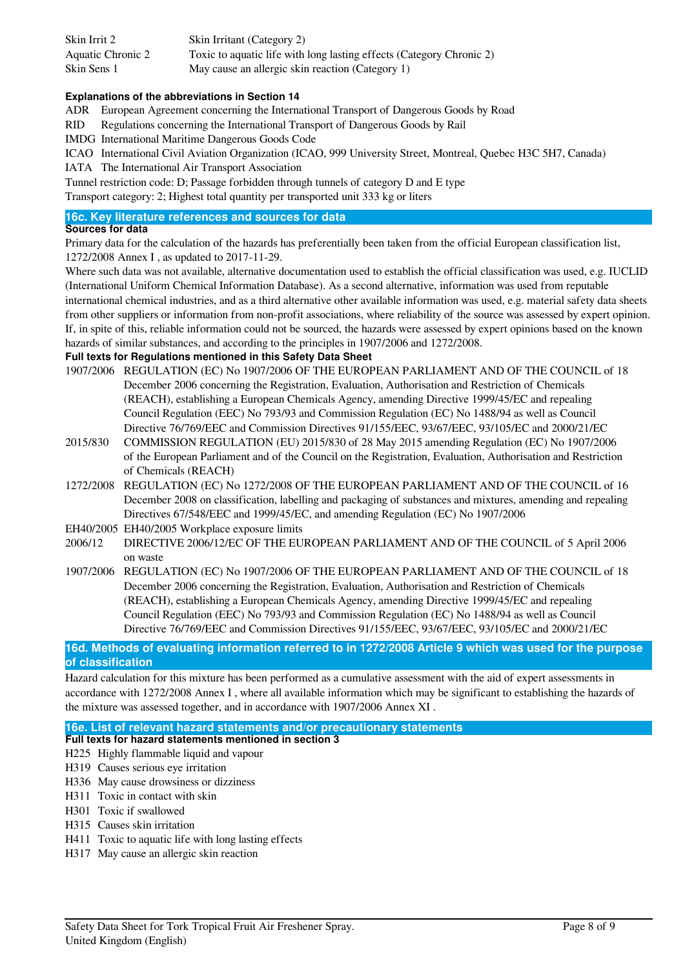| Skin Irrit 2      | Skin Irritant (Category 2)                                           |
|-------------------|----------------------------------------------------------------------|
| Aquatic Chronic 2 | Toxic to aquatic life with long lasting effects (Category Chronic 2) |
| Skin Sens 1       | May cause an allergic skin reaction (Category 1)                     |

### **Explanations of the abbreviations in Section 14**

ADR European Agreement concerning the International Transport of Dangerous Goods by Road

RID Regulations concerning the International Transport of Dangerous Goods by Rail

IMDG International Maritime Dangerous Goods Code

ICAO International Civil Aviation Organization (ICAO, 999 University Street, Montreal, Quebec H3C 5H7, Canada)

IATA The International Air Transport Association

Tunnel restriction code: D; Passage forbidden through tunnels of category D and E type Transport category: 2; Highest total quantity per transported unit 333 kg or liters

### **16c. Key literature references and sources for data**

### **Sources for data**

Primary data for the calculation of the hazards has preferentially been taken from the official European classification list, 1272/2008 Annex I , as updated to 2017-11-29.

Where such data was not available, alternative documentation used to establish the official classification was used, e.g. IUCLID (International Uniform Chemical Information Database). As a second alternative, information was used from reputable international chemical industries, and as a third alternative other available information was used, e.g. material safety data sheets from other suppliers or information from non-profit associations, where reliability of the source was assessed by expert opinion. If, in spite of this, reliable information could not be sourced, the hazards were assessed by expert opinions based on the known hazards of similar substances, and according to the principles in 1907/2006 and 1272/2008.

# **Full texts for Regulations mentioned in this Safety Data Sheet**

- 1907/2006 REGULATION (EC) No 1907/2006 OF THE EUROPEAN PARLIAMENT AND OF THE COUNCIL of 18 December 2006 concerning the Registration, Evaluation, Authorisation and Restriction of Chemicals (REACH), establishing a European Chemicals Agency, amending Directive 1999/45/EC and repealing Council Regulation (EEC) No 793/93 and Commission Regulation (EC) No 1488/94 as well as Council Directive 76/769/EEC and Commission Directives 91/155/EEC, 93/67/EEC, 93/105/EC and 2000/21/EC
- 2015/830 COMMISSION REGULATION (EU) 2015/830 of 28 May 2015 amending Regulation (EC) No 1907/2006 of the European Parliament and of the Council on the Registration, Evaluation, Authorisation and Restriction of Chemicals (REACH)
- 1272/2008 REGULATION (EC) No 1272/2008 OF THE EUROPEAN PARLIAMENT AND OF THE COUNCIL of 16 December 2008 on classification, labelling and packaging of substances and mixtures, amending and repealing Directives 67/548/EEC and 1999/45/EC, and amending Regulation (EC) No 1907/2006
- EH40/2005 EH40/2005 Workplace exposure limits
- 2006/12 DIRECTIVE 2006/12/EC OF THE EUROPEAN PARLIAMENT AND OF THE COUNCIL of 5 April 2006 on waste
- 1907/2006 REGULATION (EC) No 1907/2006 OF THE EUROPEAN PARLIAMENT AND OF THE COUNCIL of 18 December 2006 concerning the Registration, Evaluation, Authorisation and Restriction of Chemicals (REACH), establishing a European Chemicals Agency, amending Directive 1999/45/EC and repealing Council Regulation (EEC) No 793/93 and Commission Regulation (EC) No 1488/94 as well as Council Directive 76/769/EEC and Commission Directives 91/155/EEC, 93/67/EEC, 93/105/EC and 2000/21/EC

**16d. Methods of evaluating information referred to in 1272/2008 Article 9 which was used for the purpose of classification**

Hazard calculation for this mixture has been performed as a cumulative assessment with the aid of expert assessments in accordance with 1272/2008 Annex I , where all available information which may be significant to establishing the hazards of the mixture was assessed together, and in accordance with 1907/2006 Annex XI .

**16e. List of relevant hazard statements and/or precautionary statements**

- **Full texts for hazard statements mentioned in section 3** H225 Highly flammable liquid and vapour
- H319 Causes serious eye irritation
- H336 May cause drowsiness or dizziness
- H311 Toxic in contact with skin
- H301 Toxic if swallowed
- H315 Causes skin irritation
- H411 Toxic to aquatic life with long lasting effects
- H317 May cause an allergic skin reaction